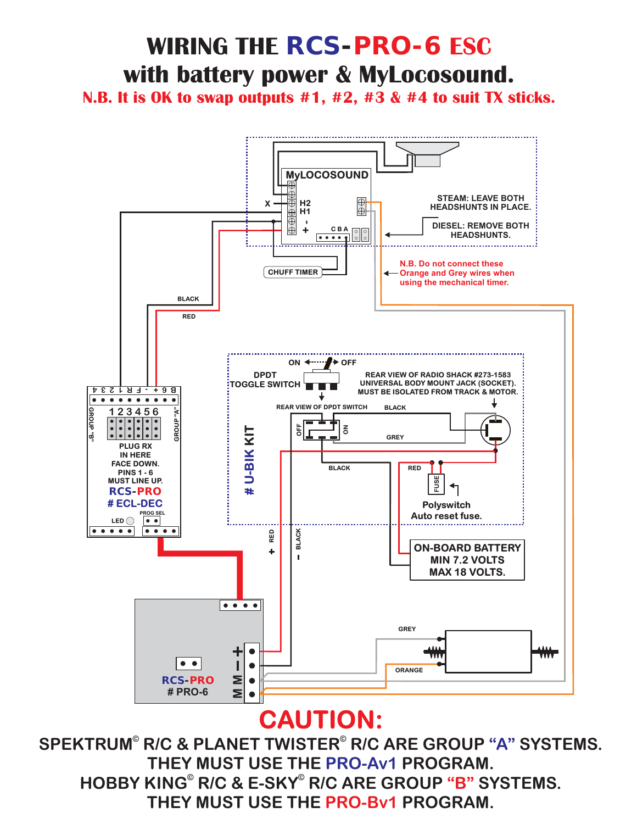#### **CAUTION:**



# **WIRING THE** *RCS-PRO-6* **ESC** with battery power & MyLocosound.

**N.B. It is OK to swap outputs #1, #2, #3 & #4 to suit TX sticks.**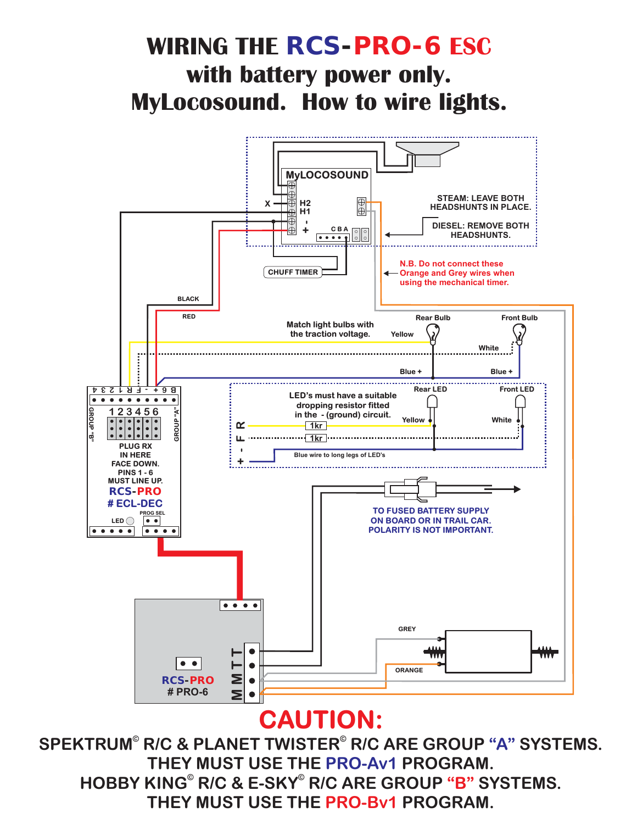# **CAUTION:**



### **WIRING THE** *RCS-PRO-6* **ESC MyLocosound. How to wire lights. with battery power only.**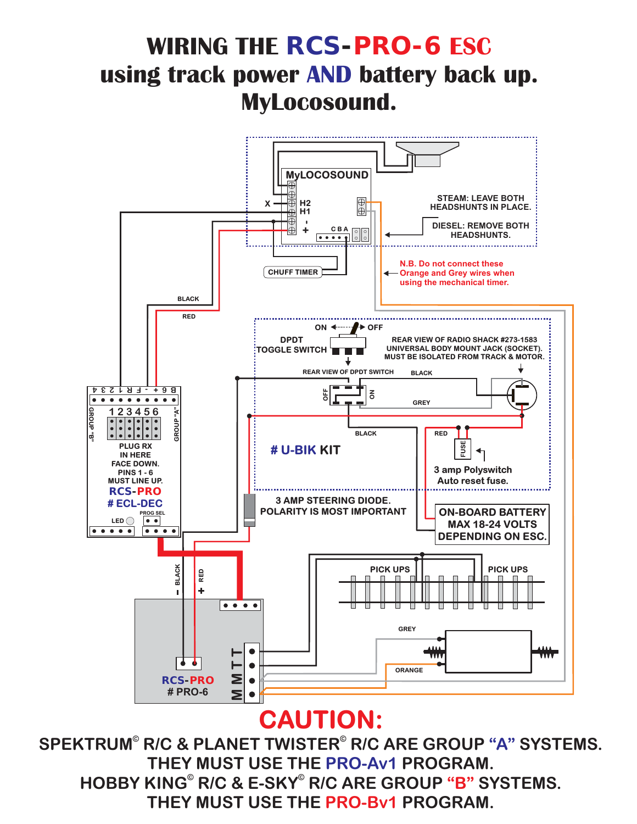# **CAUTION:**



#### **WIRING THE** *RCS-PRO-6* **ESC using track power AND battery back up. MyLocosound.**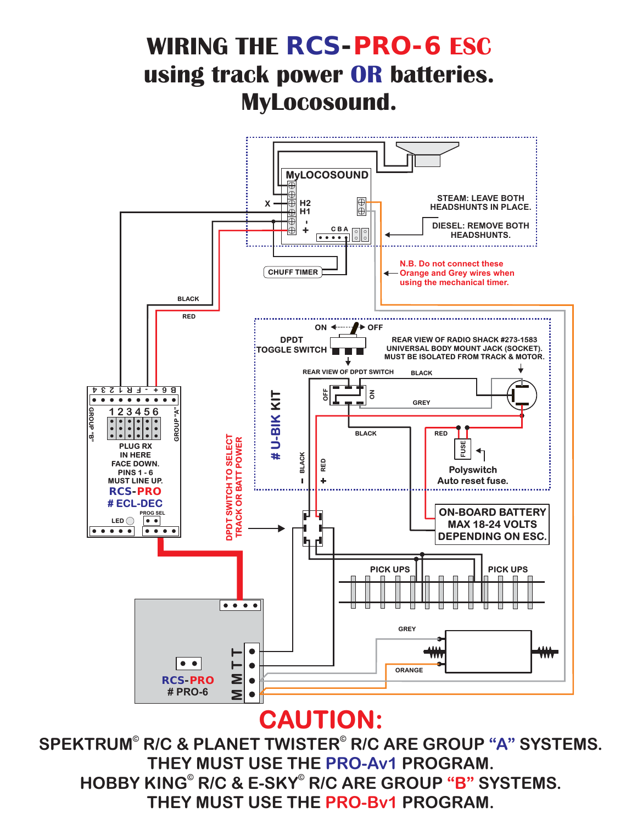



#### **WIRING THE** *RCS-PRO-6* **ESC using track power OR batteries. MyLocosound.**